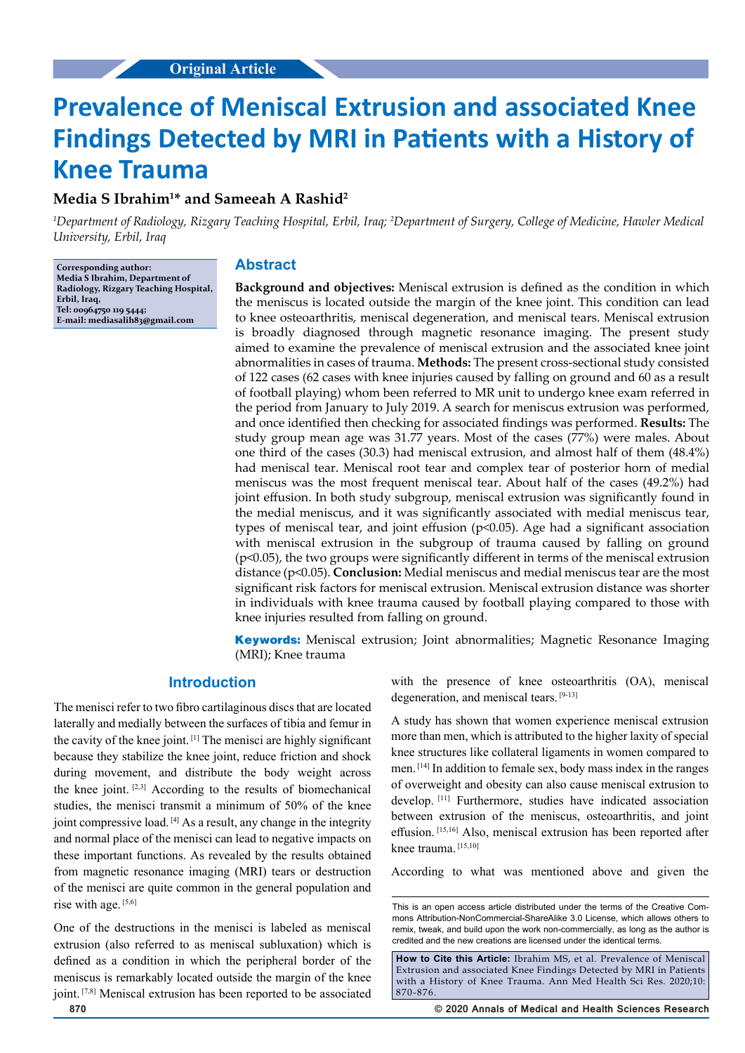# **Prevalence of Meniscal Extrusion and associated Knee Findings Detected by MRI in Patients with a History of Knee Trauma**

# **Media S Ibrahim1 \* and Sameeah A Rashid2**

*1 Department of Radiology, Rizgary Teaching Hospital, Erbil, Iraq; 2 Department of Surgery, College of Medicine, Hawler Medical University, Erbil, Iraq*

**Corresponding author: Media S Ibrahim, Department of Radiology, Rizgary Teaching Hospital, Erbil, Iraq, Tel: 00964750 119 5444; E-mail: mediasalih83@gmail.com**

## **Abstract**

**Background and objectives:** Meniscal extrusion is defined as the condition in which the meniscus is located outside the margin of the knee joint. This condition can lead to knee osteoarthritis, meniscal degeneration, and meniscal tears. Meniscal extrusion is broadly diagnosed through magnetic resonance imaging. The present study aimed to examine the prevalence of meniscal extrusion and the associated knee joint abnormalities in cases of trauma. **Methods:** The present cross-sectional study consisted of 122 cases (62 cases with knee injuries caused by falling on ground and 60 as a result of football playing) whom been referred to MR unit to undergo knee exam referred in the period from January to July 2019. A search for meniscus extrusion was performed, and once identified then checking for associated findings was performed. **Results:** The study group mean age was 31.77 years. Most of the cases (77%) were males. About one third of the cases (30.3) had meniscal extrusion, and almost half of them (48.4%) had meniscal tear. Meniscal root tear and complex tear of posterior horn of medial meniscus was the most frequent meniscal tear. About half of the cases (49.2%) had joint effusion. In both study subgroup, meniscal extrusion was significantly found in the medial meniscus, and it was significantly associated with medial meniscus tear, types of meniscal tear, and joint effusion (p<0.05). Age had a significant association with meniscal extrusion in the subgroup of trauma caused by falling on ground (p<0.05), the two groups were significantly different in terms of the meniscal extrusion distance (p<0.05). **Conclusion:** Medial meniscus and medial meniscus tear are the most significant risk factors for meniscal extrusion. Meniscal extrusion distance was shorter in individuals with knee trauma caused by football playing compared to those with knee injuries resulted from falling on ground.

**Keywords:** Meniscal extrusion; Joint abnormalities; Magnetic Resonance Imaging (MRI); Knee trauma

# **Introduction**

The menisci refer to two fibro cartilaginous discs that are located laterally and medially between the surfaces of tibia and femur in the cavity of the knee joint. [1] The menisci are highly significant because they stabilize the knee joint, reduce friction and shock during movement, and distribute the body weight across the knee joint. [2,3] According to the results of biomechanical studies, the menisci transmit a minimum of 50% of the knee joint compressive load. [4] As a result, any change in the integrity and normal place of the menisci can lead to negative impacts on these important functions. As revealed by the results obtained from magnetic resonance imaging (MRI) tears or destruction of the menisci are quite common in the general population and rise with age. [5,6]

One of the destructions in the menisci is labeled as meniscal extrusion (also referred to as meniscal subluxation) which is defined as a condition in which the peripheral border of the meniscus is remarkably located outside the margin of the knee joint. [7,8] Meniscal extrusion has been reported to be associated with the presence of knee osteoarthritis (OA), meniscal degeneration, and meniscal tears. [9-13]

A study has shown that women experience meniscal extrusion more than men, which is attributed to the higher laxity of special knee structures like collateral ligaments in women compared to men. [14] In addition to female sex, body mass index in the ranges of overweight and obesity can also cause meniscal extrusion to develop. [11] Furthermore, studies have indicated association between extrusion of the meniscus, osteoarthritis, and joint effusion. [15,16] Also, meniscal extrusion has been reported after knee trauma. [15,10]

According to what was mentioned above and given the

**870 © 2020 Annals of Medical and Health Sciences Research** 

This is an open access article distributed under the terms of the Creative Commons Attribution‑NonCommercial‑ShareAlike 3.0 License, which allows others to remix, tweak, and build upon the work non‑commercially, as long as the author is credited and the new creations are licensed under the identical terms.

**How to Cite this Article:** Ibrahim MS, et al. Prevalence of Meniscal Extrusion and associated Knee Findings Detected by MRI in Patients with a History of Knee Trauma. Ann Med Health Sci Res. 2020;10: 870-876.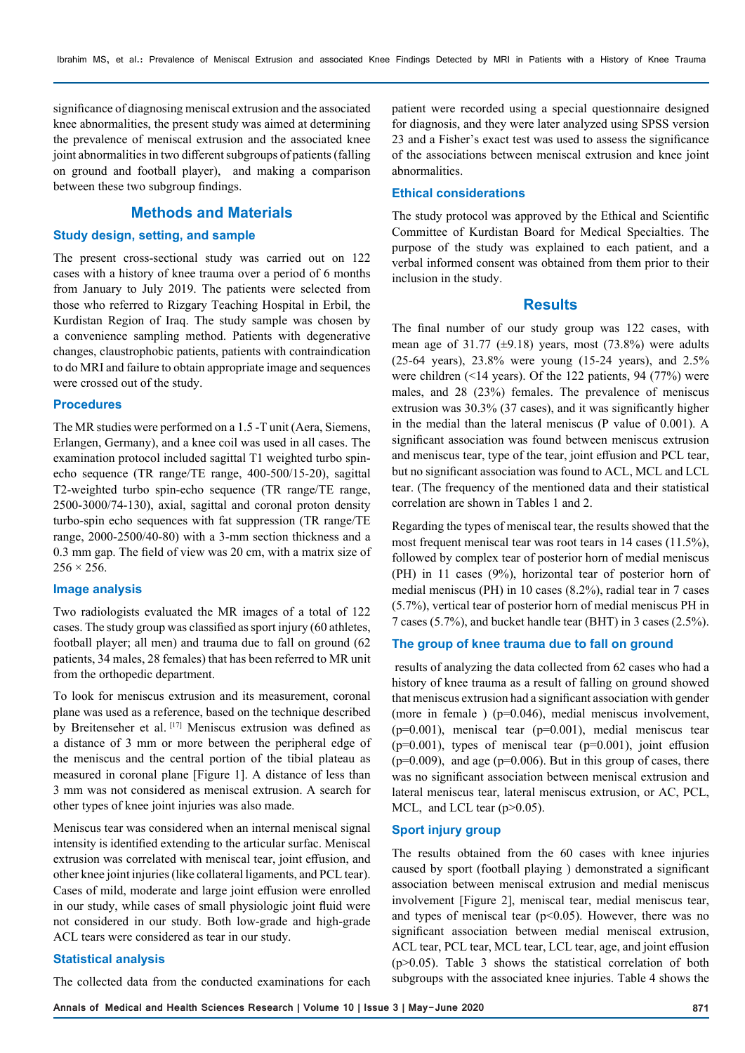significance of diagnosing meniscal extrusion and the associated knee abnormalities, the present study was aimed at determining the prevalence of meniscal extrusion and the associated knee joint abnormalities in two different subgroups of patients (falling on ground and football player), and making a comparison between these two subgroup findings.

# **Methods and Materials**

#### **Study design, setting, and sample**

The present cross-sectional study was carried out on 122 cases with a history of knee trauma over a period of 6 months from January to July 2019. The patients were selected from those who referred to Rizgary Teaching Hospital in Erbil, the Kurdistan Region of Iraq. The study sample was chosen by a convenience sampling method. Patients with degenerative changes, claustrophobic patients, patients with contraindication to do MRI and failure to obtain appropriate image and sequences were crossed out of the study.

### **Procedures**

The MR studies were performed on a 1.5 -T unit (Aera, Siemens, Erlangen, Germany), and a knee coil was used in all cases. The examination protocol included sagittal T1 weighted turbo spinecho sequence (TR range/TE range, 400-500/15-20), sagittal T2-weighted turbo spin-echo sequence (TR range/TE range, 2500-3000/74-130), axial, sagittal and coronal proton density turbo-spin echo sequences with fat suppression (TR range/TE range, 2000-2500/40-80) with a 3-mm section thickness and a 0.3 mm gap. The field of view was 20 cm, with a matrix size of  $256 \times 256$ .

#### **Image analysis**

Two radiologists evaluated the MR images of a total of 122 cases. The study group was classified as sport injury (60 athletes, football player; all men) and trauma due to fall on ground (62 patients, 34 males, 28 females) that has been referred to MR unit from the orthopedic department.

To look for meniscus extrusion and its measurement, coronal plane was used as a reference, based on the technique described by Breitenseher et al. [17] Meniscus extrusion was defined as a distance of 3 mm or more between the peripheral edge of the meniscus and the central portion of the tibial plateau as measured in coronal plane [Figure 1]. A distance of less than 3 mm was not considered as meniscal extrusion. A search for other types of knee joint injuries was also made.

Meniscus tear was considered when an internal meniscal signal intensity is identified extending to the articular surfac. Meniscal extrusion was correlated with meniscal tear, joint effusion, and other knee joint injuries (like collateral ligaments, and PCL tear). Cases of mild, moderate and large joint effusion were enrolled in our study, while cases of small physiologic joint fluid were not considered in our study. Both low-grade and high-grade ACL tears were considered as tear in our study.

#### **Statistical analysis**

The collected data from the conducted examinations for each

patient were recorded using a special questionnaire designed for diagnosis, and they were later analyzed using SPSS version 23 and a Fisher's exact test was used to assess the significance of the associations between meniscal extrusion and knee joint abnormalities.

#### **Ethical considerations**

The study protocol was approved by the Ethical and Scientific Committee of Kurdistan Board for Medical Specialties. The purpose of the study was explained to each patient, and a verbal informed consent was obtained from them prior to their inclusion in the study.

#### **Results**

The final number of our study group was 122 cases, with mean age of 31.77 ( $\pm$ 9.18) years, most (73.8%) were adults (25-64 years), 23.8% were young (15-24 years), and 2.5% were children (<14 years). Of the 122 patients, 94 (77%) were males, and 28 (23%) females. The prevalence of meniscus extrusion was 30.3% (37 cases), and it was significantly higher in the medial than the lateral meniscus (P value of 0.001). A significant association was found between meniscus extrusion and meniscus tear, type of the tear, joint effusion and PCL tear, but no significant association was found to ACL, MCL and LCL tear. (The frequency of the mentioned data and their statistical correlation are shown in Tables 1 and 2.

Regarding the types of meniscal tear, the results showed that the most frequent meniscal tear was root tears in 14 cases (11.5%), followed by complex tear of posterior horn of medial meniscus (PH) in 11 cases (9%), horizontal tear of posterior horn of medial meniscus (PH) in 10 cases (8.2%), radial tear in 7 cases (5.7%), vertical tear of posterior horn of medial meniscus PH in 7 cases (5.7%), and bucket handle tear (BHT) in 3 cases (2.5%).

#### **The group of knee trauma due to fall on ground**

 results of analyzing the data collected from 62 cases who had a history of knee trauma as a result of falling on ground showed that meniscus extrusion had a significant association with gender (more in female ) ( $p=0.046$ ), medial meniscus involvement,  $(p=0.001)$ , meniscal tear  $(p=0.001)$ , medial meniscus tear  $(p=0.001)$ , types of meniscal tear  $(p=0.001)$ , joint effusion  $(p=0.009)$ , and age  $(p=0.006)$ . But in this group of cases, there was no significant association between meniscal extrusion and lateral meniscus tear, lateral meniscus extrusion, or AC, PCL, MCL, and LCL tear (p>0.05).

### **Sport injury group**

The results obtained from the 60 cases with knee injuries caused by sport (football playing ) demonstrated a significant association between meniscal extrusion and medial meniscus involvement [Figure 2], meniscal tear, medial meniscus tear, and types of meniscal tear ( $p<0.05$ ). However, there was no significant association between medial meniscal extrusion, ACL tear, PCL tear, MCL tear, LCL tear, age, and joint effusion (p>0.05). Table 3 shows the statistical correlation of both subgroups with the associated knee injuries. Table 4 shows the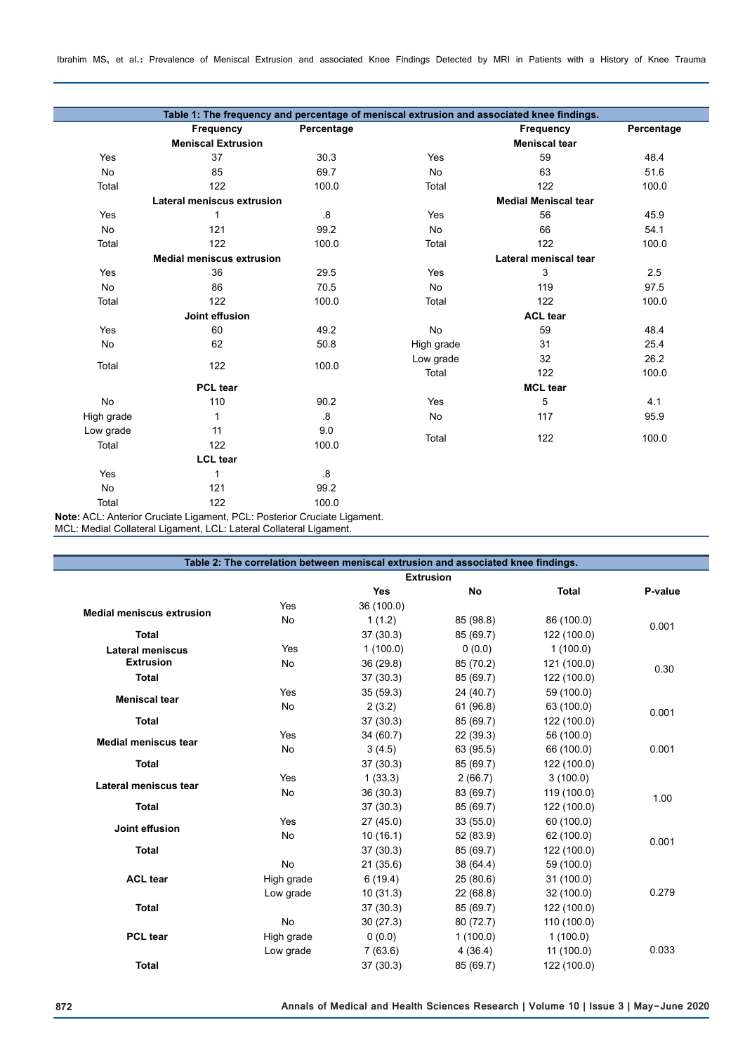Ibrahim MS, et al.: Prevalence of Meniscal Extrusion and associated Knee Findings Detected by MRI in Patients with a History of Knee Trauma

|            | Table 1: The frequency and percentage of meniscal extrusion and associated knee findings. |                |                             |                      |            |  |
|------------|-------------------------------------------------------------------------------------------|----------------|-----------------------------|----------------------|------------|--|
|            | Frequency                                                                                 | Percentage     |                             | Frequency            | Percentage |  |
|            | <b>Meniscal Extrusion</b>                                                                 |                |                             | <b>Meniscal tear</b> |            |  |
| Yes        | 37                                                                                        | 30.3           | Yes                         | 59                   | 48.4       |  |
| <b>No</b>  | 85                                                                                        | 69.7           | <b>No</b>                   | 63                   | 51.6       |  |
| Total      | 122                                                                                       | 100.0          | Total                       | 122                  | 100.0      |  |
|            | Lateral meniscus extrusion                                                                |                | <b>Medial Meniscal tear</b> |                      |            |  |
| Yes        | 1                                                                                         | .8             | Yes                         | 56                   | 45.9       |  |
| No         | 121                                                                                       | 99.2           | <b>No</b>                   | 66                   | 54.1       |  |
| Total      | 122                                                                                       | 100.0          | Total                       | 122                  | 100.0      |  |
|            | <b>Medial meniscus extrusion</b>                                                          |                | Lateral meniscal tear       |                      |            |  |
| Yes        | 36                                                                                        | 29.5           | Yes                         | 3                    | 2.5        |  |
| <b>No</b>  | 86                                                                                        | 70.5           | <b>No</b>                   | 119                  | 97.5       |  |
| Total      | 122                                                                                       | 100.0          | Total                       | 122                  | 100.0      |  |
|            | Joint effusion                                                                            |                |                             | <b>ACL tear</b>      |            |  |
| Yes        | 60                                                                                        | 49.2           | No                          | 59                   | 48.4       |  |
| No         | 62                                                                                        | 50.8           | High grade                  | 31                   | 25.4       |  |
|            | 122                                                                                       | 100.0          | Low grade                   | 32                   | 26.2       |  |
| Total      |                                                                                           |                | Total                       | 122                  | 100.0      |  |
|            | <b>PCL</b> tear                                                                           |                |                             | <b>MCL</b> tear      |            |  |
| <b>No</b>  | 110                                                                                       | 90.2           | Yes                         | 5                    | 4.1        |  |
| High grade | 1                                                                                         | $\overline{8}$ | <b>No</b>                   | 117                  | 95.9       |  |
| Low grade  | 11                                                                                        | 9.0            |                             |                      |            |  |
| Total      | 122                                                                                       | 100.0          | Total                       | 122                  | 100.0      |  |
|            | <b>LCL</b> tear                                                                           |                |                             |                      |            |  |
| Yes        | 1                                                                                         | $8 \cdot$      |                             |                      |            |  |
| <b>No</b>  | 121                                                                                       | 99.2           |                             |                      |            |  |
| Total      | 122                                                                                       | 100.0          |                             |                      |            |  |

**Note:** ACL: Anterior Cruciate Ligament, PCL: Posterior Cruciate Ligament. MCL: Medial Collateral Ligament, LCL: Lateral Collateral Ligament.

|                                  | Table 2: The correlation between meniscal extrusion and associated knee findings. |            |           |              |         |  |
|----------------------------------|-----------------------------------------------------------------------------------|------------|-----------|--------------|---------|--|
| <b>Extrusion</b>                 |                                                                                   |            |           |              |         |  |
|                                  |                                                                                   | <b>Yes</b> | <b>No</b> | <b>Total</b> | P-value |  |
| <b>Medial meniscus extrusion</b> | Yes                                                                               | 36 (100.0) |           |              |         |  |
|                                  | <b>No</b>                                                                         | 1(1.2)     | 85 (98.8) | 86 (100.0)   | 0.001   |  |
| <b>Total</b>                     |                                                                                   | 37(30.3)   | 85 (69.7) | 122 (100.0)  |         |  |
| <b>Lateral meniscus</b>          | Yes                                                                               | 1(100.0)   | 0(0.0)    | 1(100.0)     |         |  |
| <b>Extrusion</b>                 | <b>No</b>                                                                         | 36 (29.8)  | 85 (70.2) | 121 (100.0)  | 0.30    |  |
| <b>Total</b>                     |                                                                                   | 37(30.3)   | 85 (69.7) | 122 (100.0)  |         |  |
| <b>Meniscal tear</b>             | Yes                                                                               | 35(59.3)   | 24 (40.7) | 59 (100.0)   |         |  |
|                                  | No                                                                                | 2(3.2)     | 61 (96.8) | 63 (100.0)   | 0.001   |  |
| <b>Total</b>                     |                                                                                   | 37(30.3)   | 85 (69.7) | 122 (100.0)  |         |  |
| <b>Medial meniscus tear</b>      | Yes                                                                               | 34 (60.7)  | 22 (39.3) | 56 (100.0)   |         |  |
|                                  | No                                                                                | 3(4.5)     | 63 (95.5) | 66 (100.0)   | 0.001   |  |
| <b>Total</b>                     |                                                                                   | 37(30.3)   | 85 (69.7) | 122 (100.0)  |         |  |
| Lateral meniscus tear            | <b>Yes</b>                                                                        | 1(33.3)    | 2(66.7)   | 3(100.0)     |         |  |
|                                  | No                                                                                | 36(30.3)   | 83 (69.7) | 119 (100.0)  | 1.00    |  |
| <b>Total</b>                     |                                                                                   | 37(30.3)   | 85 (69.7) | 122 (100.0)  |         |  |
| Joint effusion                   | Yes                                                                               | 27(45.0)   | 33(55.0)  | 60 (100.0)   |         |  |
|                                  | No                                                                                | 10(16.1)   | 52 (83.9) | 62 (100.0)   | 0.001   |  |
| <b>Total</b>                     |                                                                                   | 37(30.3)   | 85 (69.7) | 122 (100.0)  |         |  |
|                                  | No                                                                                | 21(35.6)   | 38 (64.4) | 59 (100.0)   |         |  |
| <b>ACL tear</b>                  | High grade                                                                        | 6(19.4)    | 25(80.6)  | 31 (100.0)   |         |  |
|                                  | Low grade                                                                         | 10(31.3)   | 22(68.8)  | 32 (100.0)   | 0.279   |  |
| <b>Total</b>                     |                                                                                   | 37(30.3)   | 85 (69.7) | 122 (100.0)  |         |  |
|                                  | <b>No</b>                                                                         | 30(27.3)   | 80 (72.7) | 110 (100.0)  |         |  |
| <b>PCL tear</b>                  | High grade                                                                        | 0(0.0)     | 1(100.0)  | 1(100.0)     |         |  |
|                                  | Low grade                                                                         | 7(63.6)    | 4(36.4)   | 11 (100.0)   | 0.033   |  |
| <b>Total</b>                     |                                                                                   | 37 (30.3)  | 85 (69.7) | 122 (100.0)  |         |  |

I

F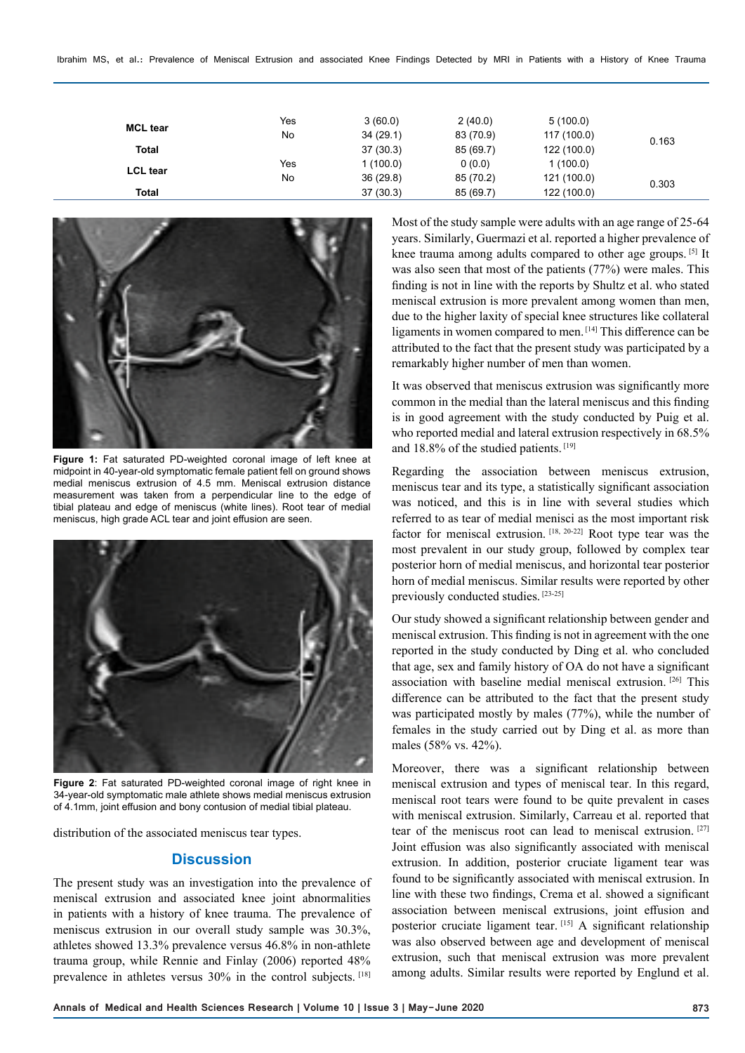Ibrahim MS, et al.: Prevalence of Meniscal Extrusion and associated Knee Findings Detected by MRI in Patients with a History of Knee Trauma

| <b>MCL tear</b> | Yes | 3(60.0)  | 2(40.0)   | 5(100.0)    |       |
|-----------------|-----|----------|-----------|-------------|-------|
|                 | No  | 34(29.1) | 83 (70.9) | 117 (100.0) | 0.163 |
| <b>Total</b>    |     | 37(30.3) | 85 (69.7) | 122 (100.0) |       |
| <b>LCL</b> tear | Yes | 1(100.0) | 0(0.0)    | 1(100.0)    |       |
|                 | No  | 36(29.8) | 85 (70.2) | 121 (100.0) | 0.303 |
| Total           |     | 37(30.3) | 85 (69.7) | 122 (100.0) |       |



**Figure 1:** Fat saturated PD-weighted coronal image of left knee at midpoint in 40-year-old symptomatic female patient fell on ground shows medial meniscus extrusion of 4.5 mm. Meniscal extrusion distance measurement was taken from a perpendicular line to the edge of tibial plateau and edge of meniscus (white lines). Root tear of medial meniscus, high grade ACL tear and joint effusion are seen.



**Figure 2**: Fat saturated PD-weighted coronal image of right knee in 34-year-old symptomatic male athlete shows medial meniscus extrusion of 4.1mm, joint effusion and bony contusion of medial tibial plateau.

distribution of the associated meniscus tear types.

## **Discussion**

The present study was an investigation into the prevalence of meniscal extrusion and associated knee joint abnormalities in patients with a history of knee trauma. The prevalence of meniscus extrusion in our overall study sample was 30.3%, athletes showed 13.3% prevalence versus 46.8% in non-athlete trauma group, while Rennie and Finlay (2006) reported 48% prevalence in athletes versus 30% in the control subjects. [18]

Most of the study sample were adults with an age range of 25-64 years. Similarly, Guermazi et al. reported a higher prevalence of knee trauma among adults compared to other age groups. [5] It was also seen that most of the patients (77%) were males. This finding is not in line with the reports by Shultz et al. who stated meniscal extrusion is more prevalent among women than men, due to the higher laxity of special knee structures like collateral ligaments in women compared to men. [14] This difference can be attributed to the fact that the present study was participated by a remarkably higher number of men than women.

It was observed that meniscus extrusion was significantly more common in the medial than the lateral meniscus and this finding is in good agreement with the study conducted by Puig et al. who reported medial and lateral extrusion respectively in 68.5% and 18.8% of the studied patients. [19]

Regarding the association between meniscus extrusion, meniscus tear and its type, a statistically significant association was noticed, and this is in line with several studies which referred to as tear of medial menisci as the most important risk factor for meniscal extrusion. [18, 20-22] Root type tear was the most prevalent in our study group, followed by complex tear posterior horn of medial meniscus, and horizontal tear posterior horn of medial meniscus. Similar results were reported by other previously conducted studies. [23-25]

Our study showed a significant relationship between gender and meniscal extrusion. This finding is not in agreement with the one reported in the study conducted by Ding et al. who concluded that age, sex and family history of OA do not have a significant association with baseline medial meniscal extrusion. [26] This difference can be attributed to the fact that the present study was participated mostly by males (77%), while the number of females in the study carried out by Ding et al. as more than males (58% vs. 42%).

Moreover, there was a significant relationship between meniscal extrusion and types of meniscal tear. In this regard, meniscal root tears were found to be quite prevalent in cases with meniscal extrusion. Similarly, Carreau et al. reported that tear of the meniscus root can lead to meniscal extrusion. [27] Joint effusion was also significantly associated with meniscal extrusion. In addition, posterior cruciate ligament tear was found to be significantly associated with meniscal extrusion. In line with these two findings, Crema et al. showed a significant association between meniscal extrusions, joint effusion and posterior cruciate ligament tear. [15] A significant relationship was also observed between age and development of meniscal extrusion, such that meniscal extrusion was more prevalent among adults. Similar results were reported by Englund et al.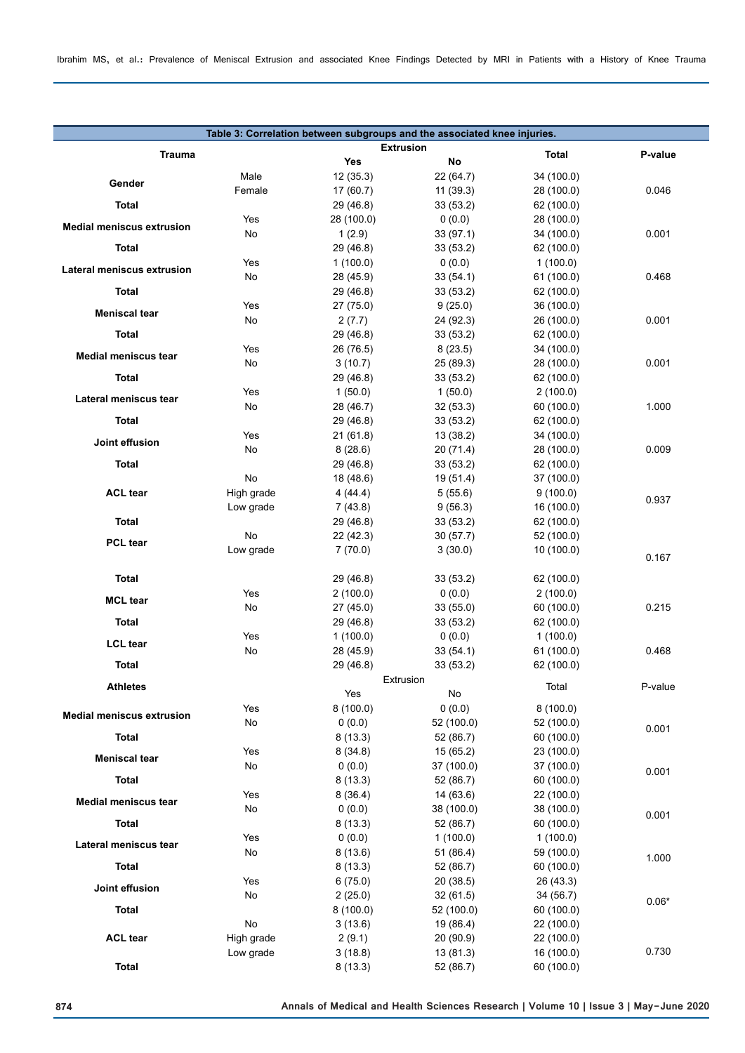| Table 3: Correlation between subgroups and the associated knee injuries. |            |                       |                         |                          |         |  |
|--------------------------------------------------------------------------|------------|-----------------------|-------------------------|--------------------------|---------|--|
| <b>Trauma</b>                                                            |            | <b>Extrusion</b>      | Total                   | P-value                  |         |  |
|                                                                          |            | Yes                   | No                      |                          |         |  |
| Gender                                                                   | Male       | 12(35.3)              | 22 (64.7)               | 34 (100.0)               |         |  |
|                                                                          | Female     | 17(60.7)              | 11(39.3)                | 28 (100.0)               | 0.046   |  |
| Total                                                                    |            | 29 (46.8)             | 33 (53.2)               | 62 (100.0)               |         |  |
| <b>Medial meniscus extrusion</b>                                         | Yes<br>No  | 28 (100.0)<br>1(2.9)  | 0(0.0)<br>33 (97.1)     | 28 (100.0)<br>34 (100.0) | 0.001   |  |
| Total                                                                    |            | 29 (46.8)             | 33(53.2)                | 62 (100.0)               |         |  |
|                                                                          | Yes        | 1(100.0)              | 0(0.0)                  | 1(100.0)                 |         |  |
| Lateral meniscus extrusion                                               | No         | 28 (45.9)             | 33(54.1)                | 61 (100.0)               | 0.468   |  |
| <b>Total</b>                                                             |            | 29 (46.8)             | 33 (53.2)               | 62 (100.0)               |         |  |
| <b>Meniscal tear</b>                                                     | Yes        | 27 (75.0)             | 9(25.0)                 | 36 (100.0)               |         |  |
|                                                                          | No         | 2(7.7)                | 24 (92.3)               | 26 (100.0)               | 0.001   |  |
| <b>Total</b>                                                             |            | 29 (46.8)             | 33(53.2)                | 62 (100.0)               |         |  |
| <b>Medial meniscus tear</b>                                              | Yes        | 26 (76.5)             | 8(23.5)                 | 34 (100.0)               |         |  |
|                                                                          | No         | 3(10.7)               | 25 (89.3)               | 28 (100.0)               | 0.001   |  |
| <b>Total</b>                                                             |            | 29 (46.8)             | 33(53.2)                | 62 (100.0)               |         |  |
| Lateral meniscus tear                                                    | Yes        | 1(50.0)               | 1(50.0)                 | 2(100.0)                 |         |  |
| <b>Total</b>                                                             | No         | 28 (46.7)             | 32(53.3)                | 60 (100.0)               | 1.000   |  |
|                                                                          | Yes        | 29 (46.8)<br>21(61.8) | 33(53.2)<br>13 (38.2)   | 62 (100.0)<br>34 (100.0) |         |  |
| Joint effusion                                                           | No         | 8(28.6)               | 20 (71.4)               | 28 (100.0)               | 0.009   |  |
| <b>Total</b>                                                             |            | 29 (46.8)             | 33(53.2)                | 62 (100.0)               |         |  |
|                                                                          | No         | 18 (48.6)             | 19 (51.4)               | 37 (100.0)               |         |  |
| <b>ACL tear</b>                                                          | High grade | 4(44.4)               | 5(55.6)                 | 9(100.0)                 |         |  |
|                                                                          | Low grade  | 7(43.8)               | 9(56.3)                 | 16 (100.0)               | 0.937   |  |
| <b>Total</b>                                                             |            | 29 (46.8)             | 33(53.2)                | 62 (100.0)               |         |  |
| <b>PCL tear</b>                                                          | No         | 22 (42.3)             | 30(57.7)                | 52 (100.0)               |         |  |
|                                                                          | Low grade  | 7(70.0)               | 3(30.0)                 | 10 (100.0)               | 0.167   |  |
|                                                                          |            |                       |                         |                          |         |  |
| Total                                                                    | Yes        | 29 (46.8)             | 33 (53.2)               | 62 (100.0)               |         |  |
| <b>MCL tear</b>                                                          | No         | 2(100.0)<br>27 (45.0) | 0(0.0)<br>33 (55.0)     | 2(100.0)<br>60 (100.0)   | 0.215   |  |
| Total                                                                    |            | 29 (46.8)             | 33 (53.2)               | 62 (100.0)               |         |  |
|                                                                          | Yes        | 1(100.0)              | 0(0.0)                  | 1(100.0)                 |         |  |
| <b>LCL</b> tear                                                          | No         | 28 (45.9)             | 33 (54.1)               | 61 (100.0)               | 0.468   |  |
| <b>Total</b>                                                             |            | 29 (46.8)             | 33 (53.2)               | 62 (100.0)               |         |  |
|                                                                          |            |                       | Extrusion               |                          |         |  |
| <b>Athletes</b>                                                          |            | Yes                   | No                      | Total                    | P-value |  |
| <b>Medial meniscus extrusion</b>                                         | Yes        | 8(100.0)              | 0(0.0)                  | 8(100.0)                 |         |  |
|                                                                          | No         | (0.0)                 | 52 (100.0)              | 52 (100.0)               | 0.001   |  |
| <b>Total</b>                                                             |            | 8(13.3)               | 52 (86.7)               | 60 (100.0)               |         |  |
| <b>Meniscal tear</b>                                                     | Yes<br>No  | 8(34.8)               | 15 (65.2)<br>37 (100.0) | 23 (100.0)<br>37 (100.0) |         |  |
| <b>Total</b>                                                             |            | 0(0.0)<br>8(13.3)     | 52 (86.7)               | 60 (100.0)               | 0.001   |  |
|                                                                          | Yes        | 8(36.4)               | 14(63.6)                | 22 (100.0)               |         |  |
| <b>Medial meniscus tear</b>                                              | No         | 0(0.0)                | 38 (100.0)              | 38 (100.0)               |         |  |
| <b>Total</b>                                                             |            | 8(13.3)               | 52 (86.7)               | 60 (100.0)               | 0.001   |  |
|                                                                          | Yes        | 0(0.0)                | 1(100.0)                | 1(100.0)                 |         |  |
| Lateral meniscus tear                                                    | No         | 8(13.6)               | 51 (86.4)               | 59 (100.0)               | 1.000   |  |
| <b>Total</b>                                                             |            | 8(13.3)               | 52 (86.7)               | 60 (100.0)               |         |  |
| Joint effusion                                                           | Yes        | 6(75.0)               | 20(38.5)                | 26 (43.3)                |         |  |
|                                                                          | No         | 2(25.0)               | 32(61.5)                | 34 (56.7)                | $0.06*$ |  |
| <b>Total</b>                                                             |            | 8(100.0)              | 52 (100.0)              | 60 (100.0)               |         |  |
|                                                                          | No         | 3(13.6)               | 19 (86.4)               | 22 (100.0)               |         |  |
| <b>ACL tear</b>                                                          | High grade | 2(9.1)                | 20 (90.9)               | 22 (100.0)               | 0.730   |  |
| <b>Total</b>                                                             | Low grade  | 3(18.8)<br>8(13.3)    | 13(81.3)<br>52 (86.7)   | 16 (100.0)<br>60 (100.0) |         |  |
|                                                                          |            |                       |                         |                          |         |  |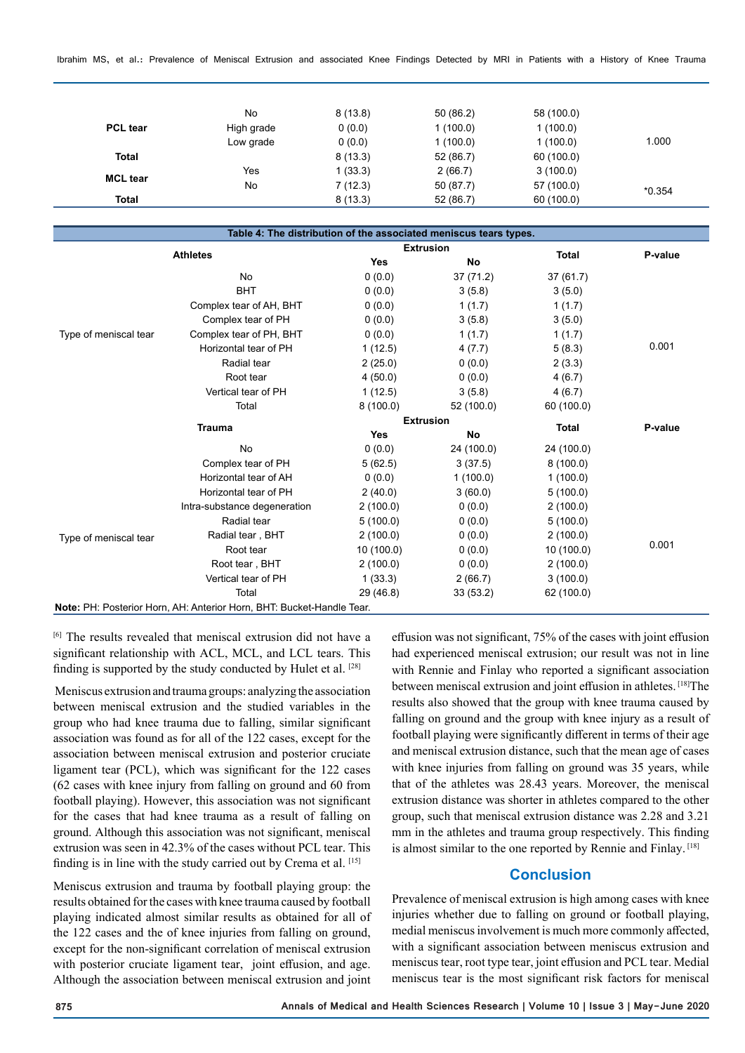Ibrahim MS, et al.: Prevalence of Meniscal Extrusion and associated Knee Findings Detected by MRI in Patients with a History of Knee Trauma

| No         | 8(13.8) | 50(86.2)  | 58 (100.0) |          |
|------------|---------|-----------|------------|----------|
| High grade | 0(0.0)  | 1(100.0)  | 1(100.0)   |          |
| Low grade  | 0(0.0)  | 1(100.0)  | 1(100.0)   | 1.000    |
|            | 8(13.3) | 52 (86.7) | 60 (100.0) |          |
| Yes        | 1(33.3) | 2(66.7)   | 3(100.0)   |          |
| No         | 7(12.3) | 50 (87.7) | 57 (100.0) | $*0.354$ |
|            | 8(13.3) | 52 (86.7) | 60 (100.0) |          |
|            |         |           |            |          |

|                       | Table 4: The distribution of the associated meniscus tears types.     |                  |            |              |         |
|-----------------------|-----------------------------------------------------------------------|------------------|------------|--------------|---------|
|                       |                                                                       | <b>Extrusion</b> |            |              |         |
| <b>Athletes</b>       |                                                                       | <b>Yes</b>       | No         | <b>Total</b> | P-value |
|                       | <b>No</b>                                                             | 0(0.0)           | 37 (71.2)  | 37(61.7)     |         |
|                       | <b>BHT</b>                                                            | 0(0.0)           | 3(5.8)     | 3(5.0)       |         |
|                       | Complex tear of AH, BHT                                               | 0(0.0)           | 1(1.7)     | 1(1.7)       |         |
|                       | Complex tear of PH                                                    | 0(0.0)           | 3(5.8)     | 3(5.0)       |         |
| Type of meniscal tear | Complex tear of PH, BHT                                               | 0(0.0)           | 1(1.7)     | 1(1.7)       |         |
|                       | Horizontal tear of PH                                                 | 1(12.5)          | 4(7.7)     | 5(8.3)       | 0.001   |
|                       | Radial tear                                                           | 2(25.0)          | 0(0.0)     | 2(3.3)       |         |
|                       | Root tear                                                             | 4(50.0)          | 0(0.0)     | 4(6.7)       |         |
|                       | Vertical tear of PH                                                   | 1(12.5)          | 3(5.8)     | 4(6.7)       |         |
|                       | Total                                                                 | 8(100.0)         | 52 (100.0) | 60 (100.0)   |         |
|                       |                                                                       | <b>Extrusion</b> |            |              |         |
|                       | <b>Trauma</b>                                                         | <b>Yes</b>       | No         | <b>Total</b> | P-value |
|                       | <b>No</b>                                                             | 0(0.0)           | 24 (100.0) | 24 (100.0)   |         |
|                       | Complex tear of PH                                                    | 5(62.5)          | 3(37.5)    | 8(100.0)     |         |
|                       | Horizontal tear of AH                                                 | 0(0.0)           | 1(100.0)   | 1(100.0)     |         |
|                       | Horizontal tear of PH                                                 | 2(40.0)          | 3(60.0)    | 5(100.0)     |         |
|                       | Intra-substance degeneration                                          | 2(100.0)         | 0(0.0)     | 2(100.0)     |         |
|                       | Radial tear                                                           | 5(100.0)         | 0(0.0)     | 5(100.0)     |         |
| Type of meniscal tear | Radial tear, BHT                                                      | 2(100.0)         | 0(0.0)     | 2(100.0)     |         |
|                       | Root tear                                                             | 10 (100.0)       | 0(0.0)     | 10(100.0)    | 0.001   |
|                       | Root tear, BHT                                                        | 2(100.0)         | 0(0.0)     | 2(100.0)     |         |
|                       | Vertical tear of PH                                                   | 1(33.3)          | 2(66.7)    | 3(100.0)     |         |
|                       | Total                                                                 | 29 (46.8)        | 33(53.2)   | 62 (100.0)   |         |
|                       | Note: PH: Posterior Horn, AH: Anterior Horn, BHT: Bucket-Handle Tear. |                  |            |              |         |

[6] The results revealed that meniscal extrusion did not have a significant relationship with ACL, MCL, and LCL tears. This finding is supported by the study conducted by Hulet et al. [28]

 Meniscus extrusion and trauma groups: analyzing the association between meniscal extrusion and the studied variables in the group who had knee trauma due to falling, similar significant association was found as for all of the 122 cases, except for the association between meniscal extrusion and posterior cruciate ligament tear (PCL), which was significant for the 122 cases (62 cases with knee injury from falling on ground and 60 from football playing). However, this association was not significant for the cases that had knee trauma as a result of falling on ground. Although this association was not significant, meniscal extrusion was seen in 42.3% of the cases without PCL tear. This finding is in line with the study carried out by Crema et al. [15]

Meniscus extrusion and trauma by football playing group: the results obtained for the cases with knee trauma caused by football playing indicated almost similar results as obtained for all of the 122 cases and the of knee injuries from falling on ground, except for the non-significant correlation of meniscal extrusion with posterior cruciate ligament tear, joint effusion, and age. Although the association between meniscal extrusion and joint

effusion was not significant, 75% of the cases with joint effusion had experienced meniscal extrusion; our result was not in line with Rennie and Finlay who reported a significant association between meniscal extrusion and joint effusion in athletes. [18] The results also showed that the group with knee trauma caused by falling on ground and the group with knee injury as a result of football playing were significantly different in terms of their age and meniscal extrusion distance, such that the mean age of cases with knee injuries from falling on ground was 35 years, while that of the athletes was 28.43 years. Moreover, the meniscal extrusion distance was shorter in athletes compared to the other group, such that meniscal extrusion distance was 2.28 and 3.21 mm in the athletes and trauma group respectively. This finding is almost similar to the one reported by Rennie and Finlay. [18]

# **Conclusion**

Prevalence of meniscal extrusion is high among cases with knee injuries whether due to falling on ground or football playing, medial meniscus involvement is much more commonly affected, with a significant association between meniscus extrusion and meniscus tear, root type tear, joint effusion and PCL tear. Medial meniscus tear is the most significant risk factors for meniscal